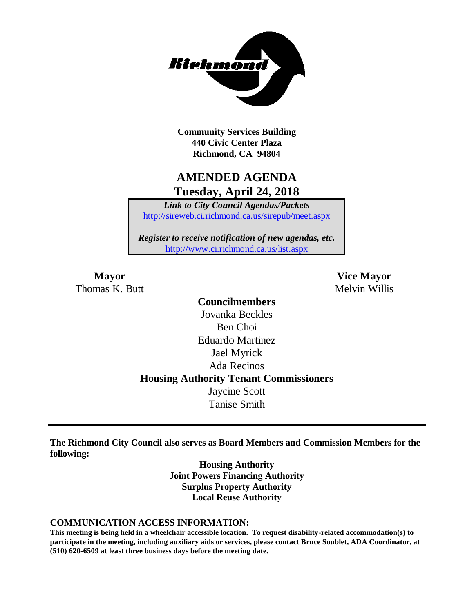

**Community Services Building 440 Civic Center Plaza Richmond, CA 94804**

## **AMENDED AGENDA Tuesday, April 24, 2018**

*Link to City Council Agendas/Packets* <http://sireweb.ci.richmond.ca.us/sirepub/meet.aspx>

*Register to receive notification of new agendas, etc.* <http://www.ci.richmond.ca.us/list.aspx>

Thomas K. Butt Melvin Willis

**Mayor Vice Mayor**

**Councilmembers** Jovanka Beckles Ben Choi Eduardo Martinez Jael Myrick Ada Recinos **Housing Authority Tenant Commissioners** Jaycine Scott Tanise Smith

**The Richmond City Council also serves as Board Members and Commission Members for the following:**

> **Housing Authority Joint Powers Financing Authority Surplus Property Authority Local Reuse Authority**

#### **COMMUNICATION ACCESS INFORMATION:**

**This meeting is being held in a wheelchair accessible location. To request disability-related accommodation(s) to participate in the meeting, including auxiliary aids or services, please contact Bruce Soublet, ADA Coordinator, at (510) 620-6509 at least three business days before the meeting date.**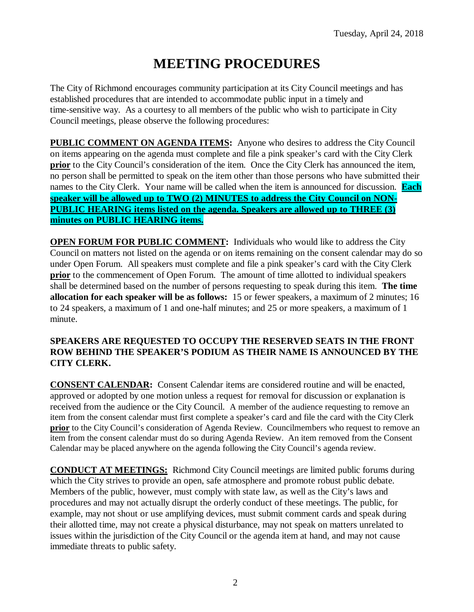# **MEETING PROCEDURES**

The City of Richmond encourages community participation at its City Council meetings and has established procedures that are intended to accommodate public input in a timely and time-sensitive way. As a courtesy to all members of the public who wish to participate in City Council meetings, please observe the following procedures:

**PUBLIC COMMENT ON AGENDA ITEMS:** Anyone who desires to address the City Council on items appearing on the agenda must complete and file a pink speaker's card with the City Clerk **prior** to the City Council's consideration of the item. Once the City Clerk has announced the item, no person shall be permitted to speak on the item other than those persons who have submitted their names to the City Clerk. Your name will be called when the item is announced for discussion. **Each speaker will be allowed up to TWO (2) MINUTES to address the City Council on NON-PUBLIC HEARING items listed on the agenda. Speakers are allowed up to THREE (3) minutes on PUBLIC HEARING items.**

**OPEN FORUM FOR PUBLIC COMMENT:** Individuals who would like to address the City Council on matters not listed on the agenda or on items remaining on the consent calendar may do so under Open Forum. All speakers must complete and file a pink speaker's card with the City Clerk **prior** to the commencement of Open Forum. The amount of time allotted to individual speakers shall be determined based on the number of persons requesting to speak during this item. **The time allocation for each speaker will be as follows:** 15 or fewer speakers, a maximum of 2 minutes; 16 to 24 speakers, a maximum of 1 and one-half minutes; and 25 or more speakers, a maximum of 1 minute.

#### **SPEAKERS ARE REQUESTED TO OCCUPY THE RESERVED SEATS IN THE FRONT ROW BEHIND THE SPEAKER'S PODIUM AS THEIR NAME IS ANNOUNCED BY THE CITY CLERK.**

**CONSENT CALENDAR:** Consent Calendar items are considered routine and will be enacted, approved or adopted by one motion unless a request for removal for discussion or explanation is received from the audience or the City Council. A member of the audience requesting to remove an item from the consent calendar must first complete a speaker's card and file the card with the City Clerk **prior** to the City Council's consideration of Agenda Review. Councilmembers who request to remove an item from the consent calendar must do so during Agenda Review. An item removed from the Consent Calendar may be placed anywhere on the agenda following the City Council's agenda review.

**CONDUCT AT MEETINGS:** Richmond City Council meetings are limited public forums during which the City strives to provide an open, safe atmosphere and promote robust public debate. Members of the public, however, must comply with state law, as well as the City's laws and procedures and may not actually disrupt the orderly conduct of these meetings. The public, for example, may not shout or use amplifying devices, must submit comment cards and speak during their allotted time, may not create a physical disturbance, may not speak on matters unrelated to issues within the jurisdiction of the City Council or the agenda item at hand, and may not cause immediate threats to public safety.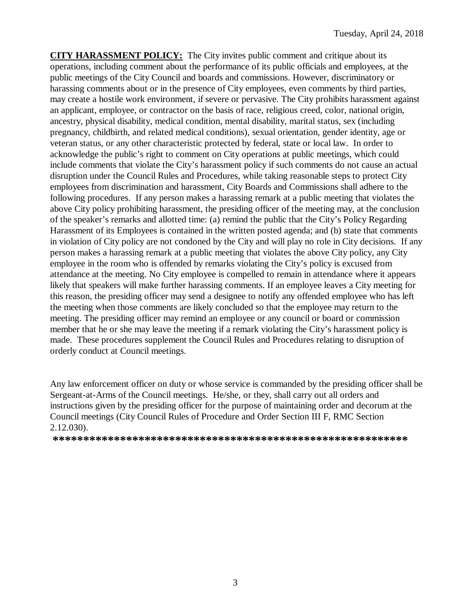**CITY HARASSMENT POLICY:** The City invites public comment and critique about its operations, including comment about the performance of its public officials and employees, at the public meetings of the City Council and boards and commissions. However, discriminatory or harassing comments about or in the presence of City employees, even comments by third parties, may create a hostile work environment, if severe or pervasive. The City prohibits harassment against an applicant, employee, or contractor on the basis of race, religious creed, color, national origin, ancestry, physical disability, medical condition, mental disability, marital status, sex (including pregnancy, childbirth, and related medical conditions), sexual orientation, gender identity, age or veteran status, or any other characteristic protected by federal, state or local law. In order to acknowledge the public's right to comment on City operations at public meetings, which could include comments that violate the City's harassment policy if such comments do not cause an actual disruption under the Council Rules and Procedures, while taking reasonable steps to protect City employees from discrimination and harassment, City Boards and Commissions shall adhere to the following procedures. If any person makes a harassing remark at a public meeting that violates the above City policy prohibiting harassment, the presiding officer of the meeting may, at the conclusion of the speaker's remarks and allotted time: (a) remind the public that the City's Policy Regarding Harassment of its Employees is contained in the written posted agenda; and (b) state that comments in violation of City policy are not condoned by the City and will play no role in City decisions. If any person makes a harassing remark at a public meeting that violates the above City policy, any City employee in the room who is offended by remarks violating the City's policy is excused from attendance at the meeting. No City employee is compelled to remain in attendance where it appears likely that speakers will make further harassing comments. If an employee leaves a City meeting for this reason, the presiding officer may send a designee to notify any offended employee who has left the meeting when those comments are likely concluded so that the employee may return to the meeting. The presiding officer may remind an employee or any council or board or commission member that he or she may leave the meeting if a remark violating the City's harassment policy is made. These procedures supplement the Council Rules and Procedures relating to disruption of orderly conduct at Council meetings.

Any law enforcement officer on duty or whose service is commanded by the presiding officer shall be Sergeant-at-Arms of the Council meetings. He/she, or they, shall carry out all orders and instructions given by the presiding officer for the purpose of maintaining order and decorum at the Council meetings (City Council Rules of Procedure and Order Section III F, RMC Section 2.12.030).

**\*\*\*\*\*\*\*\*\*\*\*\*\*\*\*\*\*\*\*\*\*\*\*\*\*\*\*\*\*\*\*\*\*\*\*\*\*\*\*\*\*\*\*\*\*\*\*\*\*\*\*\*\*\*\*\*\*\***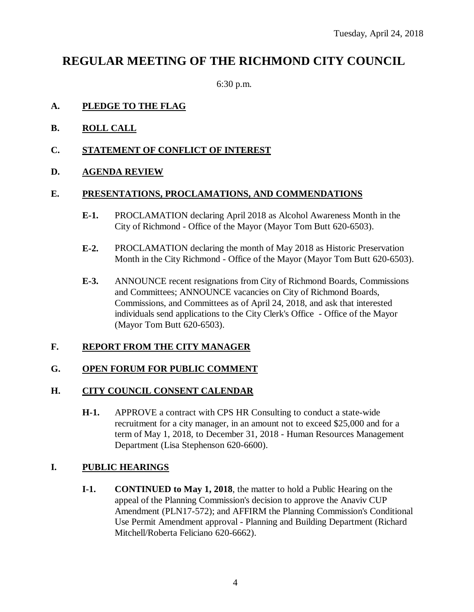## **REGULAR MEETING OF THE RICHMOND CITY COUNCIL**

6:30 p.m.

#### **A. PLEDGE TO THE FLAG**

- **B. ROLL CALL**
- **C. STATEMENT OF CONFLICT OF INTEREST**

#### **D. AGENDA REVIEW**

#### **E. PRESENTATIONS, PROCLAMATIONS, AND COMMENDATIONS**

- **E-1.** PROCLAMATION declaring April 2018 as Alcohol Awareness Month in the City of Richmond - Office of the Mayor (Mayor Tom Butt 620-6503).
- **E-2.** PROCLAMATION declaring the month of May 2018 as Historic Preservation Month in the City Richmond - Office of the Mayor (Mayor Tom Butt 620-6503).
- **E-3.** ANNOUNCE recent resignations from City of Richmond Boards, Commissions and Committees; ANNOUNCE vacancies on City of Richmond Boards, Commissions, and Committees as of April 24, 2018, and ask that interested individuals send applications to the City Clerk's Office - Office of the Mayor (Mayor Tom Butt 620-6503).

#### **F. REPORT FROM THE CITY MANAGER**

#### **G. OPEN FORUM FOR PUBLIC COMMENT**

#### **H. CITY COUNCIL CONSENT CALENDAR**

**H-1.** APPROVE a contract with CPS HR Consulting to conduct a state-wide recruitment for a city manager, in an amount not to exceed \$25,000 and for a term of May 1, 2018, to December 31, 2018 - Human Resources Management Department (Lisa Stephenson 620-6600).

#### **I. PUBLIC HEARINGS**

**I-1. CONTINUED to May 1, 2018**, the matter to hold a Public Hearing on the appeal of the Planning Commission's decision to approve the Anaviv CUP Amendment (PLN17-572); and AFFIRM the Planning Commission's Conditional Use Permit Amendment approval - Planning and Building Department (Richard Mitchell/Roberta Feliciano 620-6662).